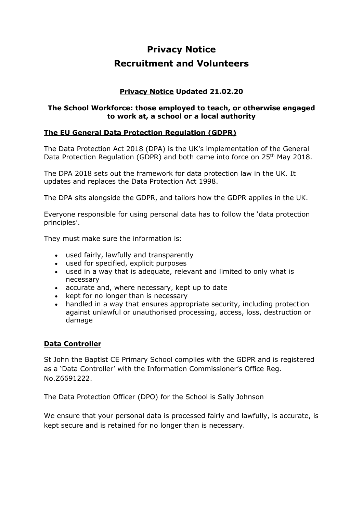# **Privacy Notice Recruitment and Volunteers**

# **Privacy Notice Updated 21.02.20**

#### **The School Workforce: those employed to teach, or otherwise engaged to work at, a school or a local authority**

## **The EU General Data Protection Regulation (GDPR)**

The Data Protection Act 2018 (DPA) is the UK's implementation of the General Data Protection Regulation (GDPR) and both came into force on 25<sup>th</sup> May 2018.

The DPA 2018 sets out the framework for data protection law in the UK. It updates and replaces the Data Protection Act 1998.

The DPA sits alongside the GDPR, and tailors how the GDPR applies in the UK.

Everyone responsible for using personal data has to follow the 'data protection principles'.

They must make sure the information is:

- used fairly, lawfully and transparently
- used for specified, explicit purposes
- used in a way that is adequate, relevant and limited to only what is necessary
- accurate and, where necessary, kept up to date
- kept for no longer than is necessary
- handled in a way that ensures appropriate security, including protection against unlawful or unauthorised processing, access, loss, destruction or damage

#### **Data Controller**

St John the Baptist CE Primary School complies with the GDPR and is registered as a 'Data Controller' with the Information Commissioner's Office Reg. No.Z6691222.

The Data Protection Officer (DPO) for the School is Sally Johnson

We ensure that your personal data is processed fairly and lawfully, is accurate, is kept secure and is retained for no longer than is necessary.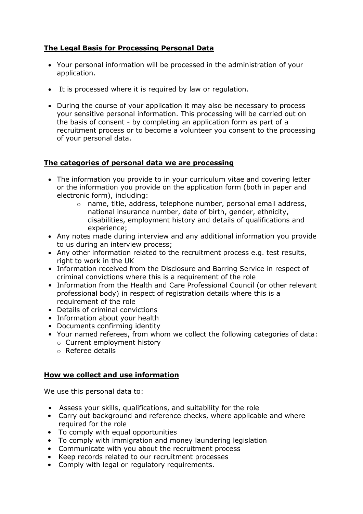# **The Legal Basis for Processing Personal Data**

- Your personal information will be processed in the administration of your application.
- It is processed where it is required by law or regulation.
- During the course of your application it may also be necessary to process your sensitive personal information. This processing will be carried out on the basis of consent - by completing an application form as part of a recruitment process or to become a volunteer you consent to the processing of your personal data.

## **The categories of personal data we are processing**

- The information you provide to in your curriculum vitae and covering letter or the information you provide on the application form (both in paper and electronic form), including:
	- o name, title, address, telephone number, personal email address, national insurance number, date of birth, gender, ethnicity, disabilities, employment history and details of qualifications and experience;
- Any notes made during interview and any additional information you provide to us during an interview process;
- Any other information related to the recruitment process e.g. test results, right to work in the UK
- Information received from the Disclosure and Barring Service in respect of criminal convictions where this is a requirement of the role
- Information from the Health and Care Professional Council (or other relevant professional body) in respect of registration details where this is a requirement of the role
- Details of criminal convictions
- Information about your health
- Documents confirming identity
- Your named referees, from whom we collect the following categories of data:
	- o Current employment history
	- o Referee details

## **How we collect and use information**

We use this personal data to:

- Assess your skills, qualifications, and suitability for the role
- Carry out background and reference checks, where applicable and where required for the role
- To comply with equal opportunities
- To comply with immigration and money laundering legislation
- Communicate with you about the recruitment process
- Keep records related to our recruitment processes
- Comply with legal or regulatory requirements.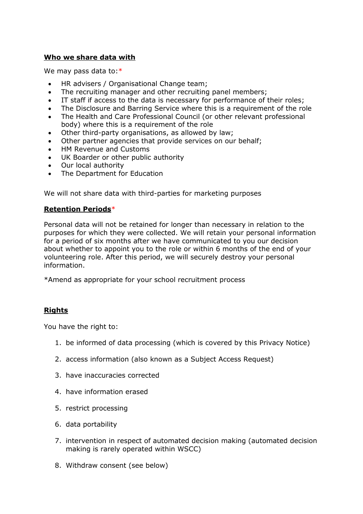#### **Who we share data with**

We may pass data to: $*$ 

- HR advisers / Organisational Change team;
- The recruiting manager and other recruiting panel members;
- IT staff if access to the data is necessary for performance of their roles;
- The Disclosure and Barring Service where this is a requirement of the role
- The Health and Care Professional Council (or other relevant professional body) where this is a requirement of the role
- Other third-party organisations, as allowed by law;
- Other partner agencies that provide services on our behalf;
- HM Revenue and Customs
- UK Boarder or other public authority
- Our local authority
- The Department for Education

We will not share data with third-parties for marketing purposes

#### **Retention Periods**\*

Personal data will not be retained for longer than necessary in relation to the purposes for which they were collected. We will retain your personal information for a period of six months after we have communicated to you our decision about whether to appoint you to the role or within 6 months of the end of your volunteering role. After this period, we will securely destroy your personal information.

\*Amend as appropriate for your school recruitment process

## **Rights**

You have the right to:

- 1. be informed of data processing (which is covered by this Privacy Notice)
- 2. access information (also known as a Subject Access Request)
- 3. have inaccuracies corrected
- 4. have information erased
- 5. restrict processing
- 6. data portability
- 7. intervention in respect of automated decision making (automated decision making is rarely operated within WSCC)
- 8. Withdraw consent (see below)